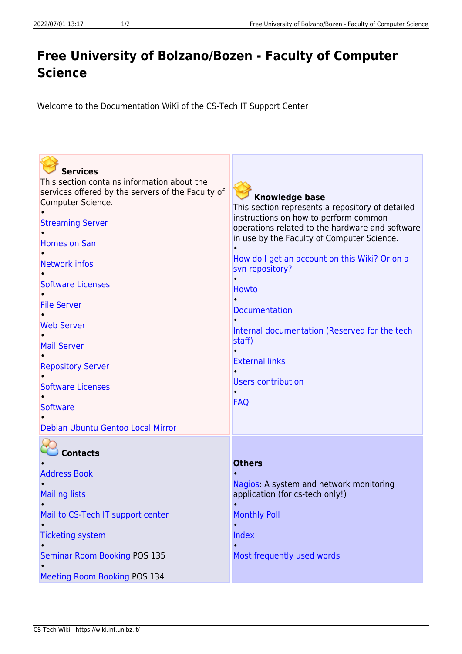## **Free University of Bolzano/Bozen - Faculty of Computer Science**

Welcome to the Documentation WiKi of the CS-Tech IT Support Center

| <b>Services</b>                                                        |                                                                                          |
|------------------------------------------------------------------------|------------------------------------------------------------------------------------------|
| This section contains information about the                            |                                                                                          |
| services offered by the servers of the Faculty of<br>Computer Science. | <b>Knowledge base</b>                                                                    |
|                                                                        | This section represents a repository of detailed                                         |
| <b>Streaming Server</b>                                                | instructions on how to perform common<br>operations related to the hardware and software |
| <b>Homes on San</b>                                                    | in use by the Faculty of Computer Science.                                               |
|                                                                        |                                                                                          |
| <b>Network infos</b>                                                   | How do I get an account on this Wiki? Or on a<br>svn repository?                         |
|                                                                        |                                                                                          |
| <b>Software Licenses</b>                                               | <b>Howto</b>                                                                             |
| <b>File Server</b>                                                     |                                                                                          |
|                                                                        | <b>Documentation</b>                                                                     |
| <b>Web Server</b>                                                      | Internal documentation (Reserved for the tech                                            |
| <b>Mail Server</b>                                                     | staff)                                                                                   |
|                                                                        | <b>External links</b>                                                                    |
| <b>Repository Server</b>                                               |                                                                                          |
| <b>Software Licenses</b>                                               | <b>Users contribution</b>                                                                |
|                                                                        |                                                                                          |
| <b>Software</b>                                                        | <b>FAQ</b>                                                                               |
| Debian Ubuntu Gentoo Local Mirror                                      |                                                                                          |
|                                                                        |                                                                                          |
| <b>Contacts</b>                                                        |                                                                                          |
|                                                                        | <b>Others</b>                                                                            |
| <b>Address Book</b>                                                    |                                                                                          |
|                                                                        | Nagios: A system and network monitoring<br>application (for cs-tech only!)               |
| <b>Mailing lists</b>                                                   |                                                                                          |
| Mail to CS-Tech IT support center                                      | <b>Monthly Poll</b>                                                                      |
|                                                                        |                                                                                          |
| <b>Ticketing system</b>                                                | Index                                                                                    |
| <b>Seminar Room Booking POS 135</b>                                    | Most frequently used words                                                               |
|                                                                        |                                                                                          |
| Meeting Room Booking POS 134                                           |                                                                                          |